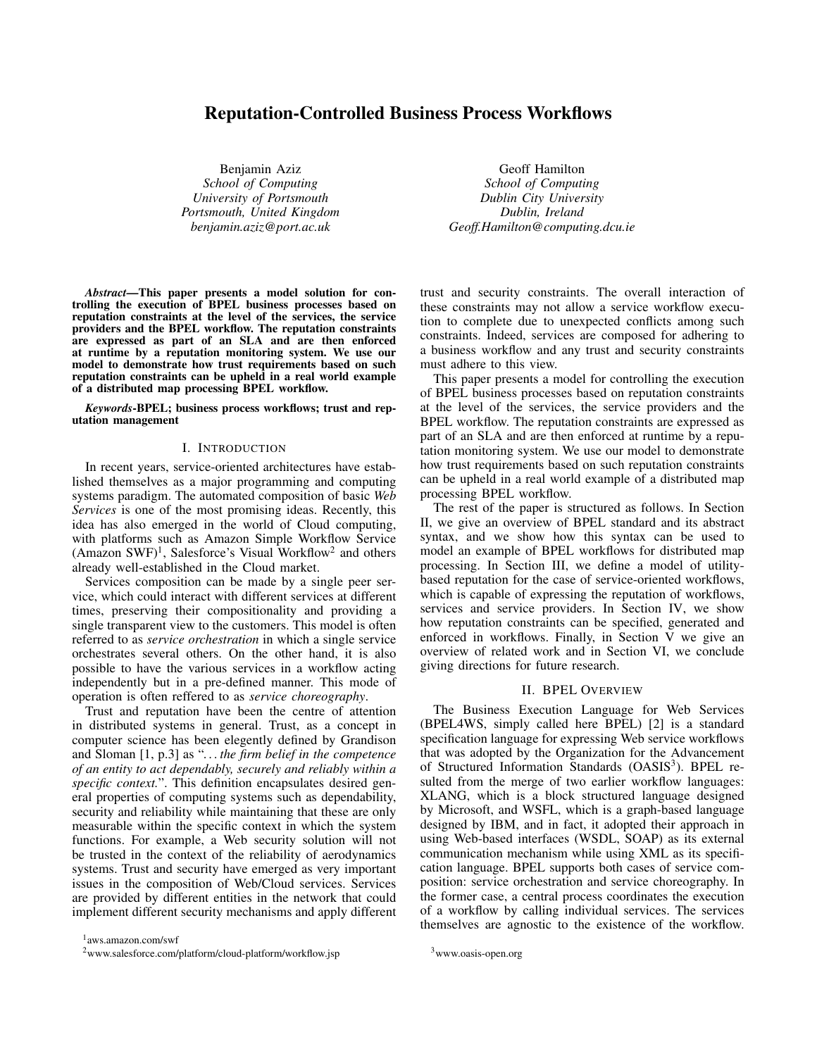# Reputation-Controlled Business Process Workflows

Benjamin Aziz *School of Computing University of Portsmouth Portsmouth, United Kingdom benjamin.aziz@port.ac.uk*

*Abstract*—This paper presents a model solution for controlling the execution of BPEL business processes based on reputation constraints at the level of the services, the service providers and the BPEL workflow. The reputation constraints are expressed as part of an SLA and are then enforced at runtime by a reputation monitoring system. We use our model to demonstrate how trust requirements based on such reputation constraints can be upheld in a real world example of a distributed map processing BPEL workflow.

*Keywords*-BPEL; business process workflows; trust and reputation management

# I. INTRODUCTION

In recent years, service-oriented architectures have established themselves as a major programming and computing systems paradigm. The automated composition of basic *Web Services* is one of the most promising ideas. Recently, this idea has also emerged in the world of Cloud computing, with platforms such as Amazon Simple Workflow Service  $(Amazon SWF)<sup>1</sup>$ , Salesforce's Visual Workflow<sup>2</sup> and others already well-established in the Cloud market.

Services composition can be made by a single peer service, which could interact with different services at different times, preserving their compositionality and providing a single transparent view to the customers. This model is often referred to as *service orchestration* in which a single service orchestrates several others. On the other hand, it is also possible to have the various services in a workflow acting independently but in a pre-defined manner. This mode of operation is often reffered to as *service choreography*.

Trust and reputation have been the centre of attention in distributed systems in general. Trust, as a concept in computer science has been elegently defined by Grandison and Sloman [1, p.3] as "*. . . the firm belief in the competence of an entity to act dependably, securely and reliably within a specific context.*". This definition encapsulates desired general properties of computing systems such as dependability, security and reliability while maintaining that these are only measurable within the specific context in which the system functions. For example, a Web security solution will not be trusted in the context of the reliability of aerodynamics systems. Trust and security have emerged as very important issues in the composition of Web/Cloud services. Services are provided by different entities in the network that could implement different security mechanisms and apply different

1 aws.amazon.com/swf

Geoff Hamilton *School of Computing Dublin City University Dublin, Ireland Geoff.Hamilton@computing.dcu.ie*

trust and security constraints. The overall interaction of these constraints may not allow a service workflow execution to complete due to unexpected conflicts among such constraints. Indeed, services are composed for adhering to a business workflow and any trust and security constraints must adhere to this view.

This paper presents a model for controlling the execution of BPEL business processes based on reputation constraints at the level of the services, the service providers and the BPEL workflow. The reputation constraints are expressed as part of an SLA and are then enforced at runtime by a reputation monitoring system. We use our model to demonstrate how trust requirements based on such reputation constraints can be upheld in a real world example of a distributed map processing BPEL workflow.

The rest of the paper is structured as follows. In Section II, we give an overview of BPEL standard and its abstract syntax, and we show how this syntax can be used to model an example of BPEL workflows for distributed map processing. In Section III, we define a model of utilitybased reputation for the case of service-oriented workflows, which is capable of expressing the reputation of workflows, services and service providers. In Section IV, we show how reputation constraints can be specified, generated and enforced in workflows. Finally, in Section V we give an overview of related work and in Section VI, we conclude giving directions for future research.

## II. BPEL OVERVIEW

The Business Execution Language for Web Services (BPEL4WS, simply called here BPEL) [2] is a standard specification language for expressing Web service workflows that was adopted by the Organization for the Advancement of Structured Information Standards (OASIS<sup>3</sup>). BPEL resulted from the merge of two earlier workflow languages: XLANG, which is a block structured language designed by Microsoft, and WSFL, which is a graph-based language designed by IBM, and in fact, it adopted their approach in using Web-based interfaces (WSDL, SOAP) as its external communication mechanism while using XML as its specification language. BPEL supports both cases of service composition: service orchestration and service choreography. In the former case, a central process coordinates the execution of a workflow by calling individual services. The services themselves are agnostic to the existence of the workflow.

<sup>2</sup>www.salesforce.com/platform/cloud-platform/workflow.jsp

<sup>3</sup>www.oasis-open.org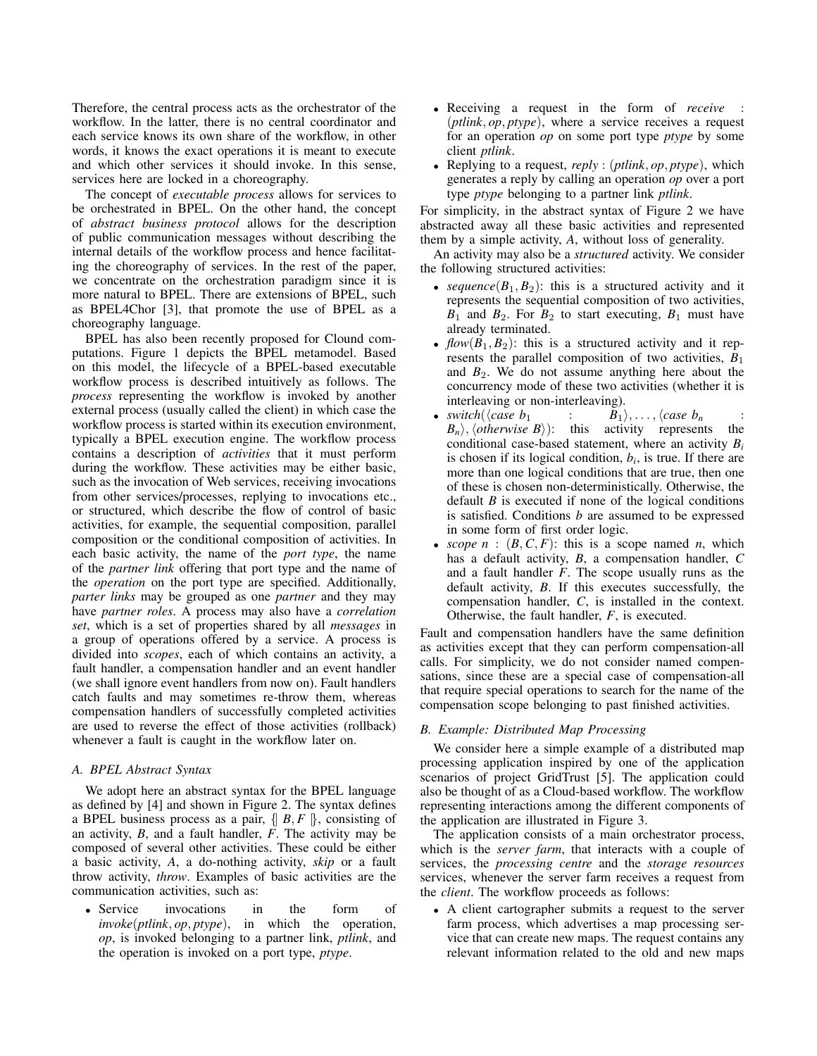Therefore, the central process acts as the orchestrator of the workflow. In the latter, there is no central coordinator and each service knows its own share of the workflow, in other words, it knows the exact operations it is meant to execute and which other services it should invoke. In this sense, services here are locked in a choreography.

The concept of *executable process* allows for services to be orchestrated in BPEL. On the other hand, the concept of *abstract business protocol* allows for the description of public communication messages without describing the internal details of the workflow process and hence facilitating the choreography of services. In the rest of the paper, we concentrate on the orchestration paradigm since it is more natural to BPEL. There are extensions of BPEL, such as BPEL4Chor [3], that promote the use of BPEL as a choreography language.

BPEL has also been recently proposed for Clound computations. Figure 1 depicts the BPEL metamodel. Based on this model, the lifecycle of a BPEL-based executable workflow process is described intuitively as follows. The *process* representing the workflow is invoked by another external process (usually called the client) in which case the workflow process is started within its execution environment, typically a BPEL execution engine. The workflow process contains a description of *activities* that it must perform during the workflow. These activities may be either basic, such as the invocation of Web services, receiving invocations from other services/processes, replying to invocations etc., or structured, which describe the flow of control of basic activities, for example, the sequential composition, parallel composition or the conditional composition of activities. In each basic activity, the name of the *port type*, the name of the *partner link* offering that port type and the name of the *operation* on the port type are specified. Additionally, *parter links* may be grouped as one *partner* and they may have *partner roles*. A process may also have a *correlation set*, which is a set of properties shared by all *messages* in a group of operations offered by a service. A process is divided into *scopes*, each of which contains an activity, a fault handler, a compensation handler and an event handler (we shall ignore event handlers from now on). Fault handlers catch faults and may sometimes re-throw them, whereas compensation handlers of successfully completed activities are used to reverse the effect of those activities (rollback) whenever a fault is caught in the workflow later on.

## *A. BPEL Abstract Syntax*

We adopt here an abstract syntax for the BPEL language as defined by [4] and shown in Figure 2. The syntax defines a BPEL business process as a pair,  $\{ |B, F| \}$ , consisting of an activity, *B*, and a fault handler, *F*. The activity may be composed of several other activities. These could be either a basic activity, *A*, a do-nothing activity, *skip* or a fault throw activity, *throw*. Examples of basic activities are the communication activities, such as:

• Service invocations in the form of *invoke*(*ptlink*, *op*, *ptype*), in which the operation, *op*, is invoked belonging to a partner link, *ptlink*, and the operation is invoked on a port type, *ptype*.

- Receiving a request in the form of *receive* : (*ptlink*, *op*, *ptype*), where a service receives a request for an operation *op* on some port type *ptype* by some client *ptlink*.
- Replying to a request, *reply* : (*ptlink*, *op*, *ptype*), which generates a reply by calling an operation *op* over a port type *ptype* belonging to a partner link *ptlink*.

For simplicity, in the abstract syntax of Figure 2 we have abstracted away all these basic activities and represented them by a simple activity, *A*, without loss of generality.

An activity may also be a *structured* activity. We consider the following structured activities:

- *sequence*( $B_1, B_2$ ): this is a structured activity and it represents the sequential composition of two activities,  $B_1$  and  $B_2$ . For  $B_2$  to start executing,  $B_1$  must have already terminated.
- $flow(B_1, B_2)$ : this is a structured activity and it represents the parallel composition of two activities,  $B_1$ and  $B_2$ . We do not assume anything here about the concurrency mode of these two activities (whether it is interleaving or non-interleaving).
- *switch*( $\langle case \ b_1 \ \cdot \cdot \cdot \cdot \rangle$ *case b<sub>n</sub>*  $B_n$ , (*otherwise B*): this activity represents the conditional case-based statement, where an activity *B<sup>i</sup>* is chosen if its logical condition,  $b_i$ , is true. If there are more than one logical conditions that are true, then one of these is chosen non-deterministically. Otherwise, the default *B* is executed if none of the logical conditions is satisfied. Conditions *b* are assumed to be expressed in some form of first order logic.
- *scope*  $n : (B, C, F)$ : this is a scope named *n*, which has a default activity, *B*, a compensation handler, *C* and a fault handler *F*. The scope usually runs as the default activity, *B*. If this executes successfully, the compensation handler, *C*, is installed in the context. Otherwise, the fault handler, *F*, is executed.

Fault and compensation handlers have the same definition as activities except that they can perform compensation-all calls. For simplicity, we do not consider named compensations, since these are a special case of compensation-all that require special operations to search for the name of the compensation scope belonging to past finished activities.

# *B. Example: Distributed Map Processing*

We consider here a simple example of a distributed map processing application inspired by one of the application scenarios of project GridTrust [5]. The application could also be thought of as a Cloud-based workflow. The workflow representing interactions among the different components of the application are illustrated in Figure 3.

The application consists of a main orchestrator process, which is the *server farm*, that interacts with a couple of services, the *processing centre* and the *storage resources* services, whenever the server farm receives a request from the *client*. The workflow proceeds as follows:

• A client cartographer submits a request to the server farm process, which advertises a map processing service that can create new maps. The request contains any relevant information related to the old and new maps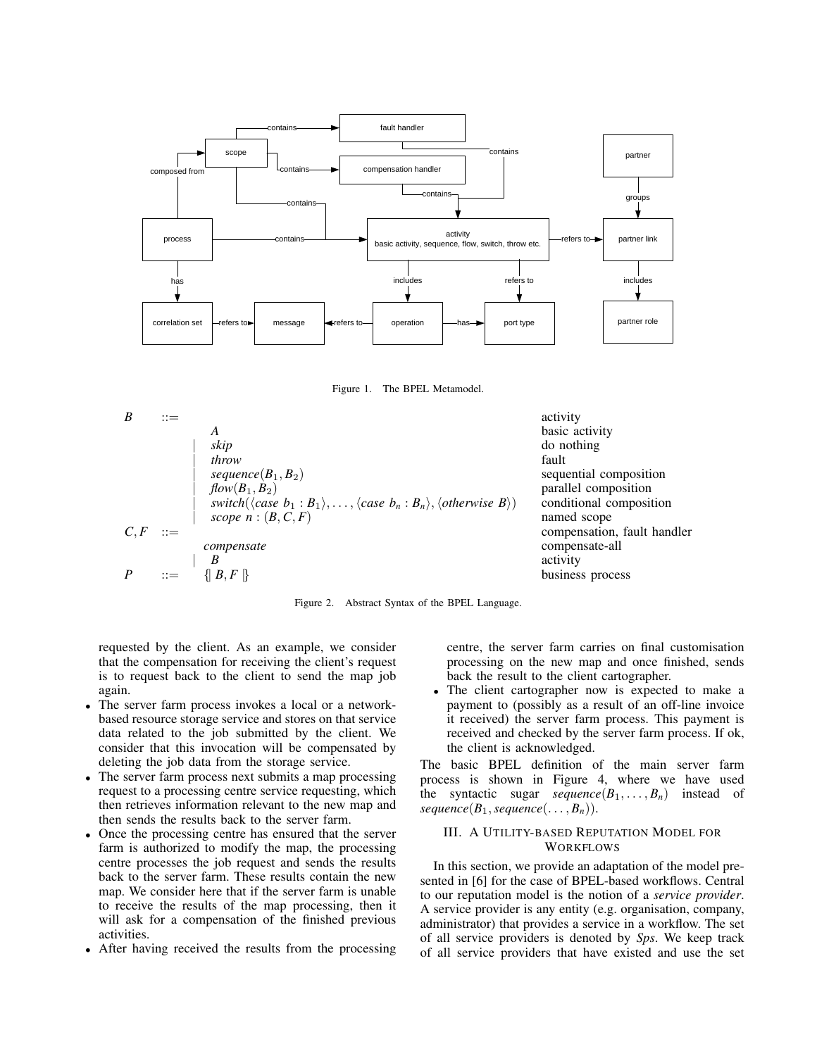

Figure 1. The BPEL Metamodel.

| $B$ | ::=\n $A$<br>\n        basic a<br>\n        basic a<br>\n        do not<br>\n        throw<br>\n $sequence(B_1, B_2)$<br>\n        flow(B_1, B_2) | feature<br>\n        switch( $(case \ b_1 : B_1), \ldots, (case \ b_n : B_n), (otherwise \ B)$ )<br>\n        condition | conprallel<br>\n        switch( $(case \ b_1 : B_1), \ldots, (case \ b_n : B_n), (otherwise \ B)$ )<br>\n        condition | conper<br>\n        number<br>\n $B$<br>\n        activity<br>\n $P$ | :=\n $\{B, F\}$ \n        business |
|-----|---------------------------------------------------------------------------------------------------------------------------------------------------|-------------------------------------------------------------------------------------------------------------------------|----------------------------------------------------------------------------------------------------------------------------|----------------------------------------------------------------------|------------------------------------|
|-----|---------------------------------------------------------------------------------------------------------------------------------------------------|-------------------------------------------------------------------------------------------------------------------------|----------------------------------------------------------------------------------------------------------------------------|----------------------------------------------------------------------|------------------------------------|

**basic** activity | *skip* do nothing  $sequential$  composition  $parallel$  composition | *switch*(h*case b*<sup>1</sup> : *B*1i, . . . ,h*case b<sup>n</sup>* : *Bn*i,h*otherwise B*i) conditional composition  $n$  amed scope compensation, fault handler *compensate* compensate-all *P* business process



requested by the client. As an example, we consider that the compensation for receiving the client's request is to request back to the client to send the map job again.

- The server farm process invokes a local or a networkbased resource storage service and stores on that service data related to the job submitted by the client. We consider that this invocation will be compensated by deleting the job data from the storage service.
- The server farm process next submits a map processing request to a processing centre service requesting, which then retrieves information relevant to the new map and then sends the results back to the server farm.
- Once the processing centre has ensured that the server farm is authorized to modify the map, the processing centre processes the job request and sends the results back to the server farm. These results contain the new map. We consider here that if the server farm is unable to receive the results of the map processing, then it will ask for a compensation of the finished previous activities.
- After having received the results from the processing

centre, the server farm carries on final customisation processing on the new map and once finished, sends back the result to the client cartographer.

• The client cartographer now is expected to make a payment to (possibly as a result of an off-line invoice it received) the server farm process. This payment is received and checked by the server farm process. If ok, the client is acknowledged.

The basic BPEL definition of the main server farm process is shown in Figure 4, where we have used the syntactic sugar *sequence*( $B_1, \ldots, B_n$ ) instead of  $sequence(B_1, sequence(..., B_n)).$ 

## III. A UTILITY-BASED REPUTATION MODEL FOR **WORKELOWS**

In this section, we provide an adaptation of the model presented in [6] for the case of BPEL-based workflows. Central to our reputation model is the notion of a *service provider*. A service provider is any entity (e.g. organisation, company, administrator) that provides a service in a workflow. The set of all service providers is denoted by *Sps*. We keep track of all service providers that have existed and use the set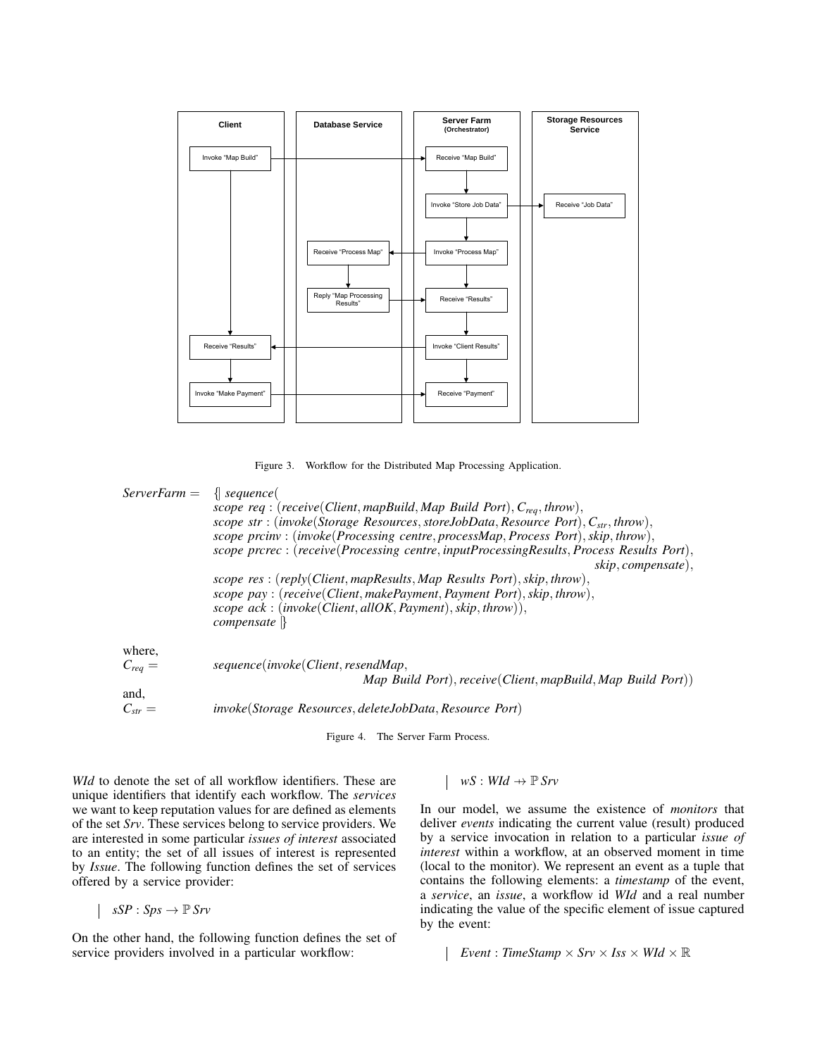

Figure 3. Workflow for the Distributed Map Processing Application.

```
ServerFarm = {| sequence(
```
*scope req* : (*receive*(*Client*, *mapBuild*, *Map Build Port*), *Creq*, *throw*), *scope str* : (*invoke*(*Storage Resources*,*storeJobData*, *Resource Port*), *Cstr*, *throw*), *scope prcinv* : (*invoke*(*Processing centre*, *processMap*, *Process Port*),*skip*, *throw*), *scope prcrec* : (*receive*(*Processing centre*, *inputProcessingResults*, *Process Results Port*), *skip*, *compensate*), *scope res* : (*reply*(*Client*, *mapResults*, *Map Results Port*),*skip*, *throw*), *scope pay* : (*receive*(*Client*, *makePayment*, *Payment Port*),*skip*, *throw*), *scope ack* : (*invoke*(*Client*, *allOK*, *Payment*),*skip*, *throw*)), *compensate* |} where, *Creq* = *sequence*(*invoke*(*Client*,*resendMap*, *Map Build Port*),*receive*(*Client*, *mapBuild*, *Map Build Port*)) and,

*Cstr* = *invoke*(*Storage Resources*, *deleteJobData*, *Resource Port*)

Figure 4. The Server Farm Process.

*WId* to denote the set of all workflow identifiers. These are unique identifiers that identify each workflow. The *services* we want to keep reputation values for are defined as elements of the set *Srv*. These services belong to service providers. We are interested in some particular *issues of interest* associated to an entity; the set of all issues of interest is represented by *Issue*. The following function defines the set of services offered by a service provider:

$$
sSP: Sps \rightarrow \mathbb{P} Srv
$$

On the other hand, the following function defines the set of service providers involved in a particular workflow:

$$
| \quad wS : WId \rightarrow \mathbb{P} Srv
$$

In our model, we assume the existence of *monitors* that deliver *events* indicating the current value (result) produced by a service invocation in relation to a particular *issue of interest* within a workflow, at an observed moment in time (local to the monitor). We represent an event as a tuple that contains the following elements: a *timestamp* of the event, a *service*, an *issue*, a workflow id *WId* and a real number indicating the value of the specific element of issue captured by the event:

*Event* : *TimeStamp*  $\times$  *Srv*  $\times$  *Iss*  $\times$  *WId*  $\times$   $\mathbb{R}$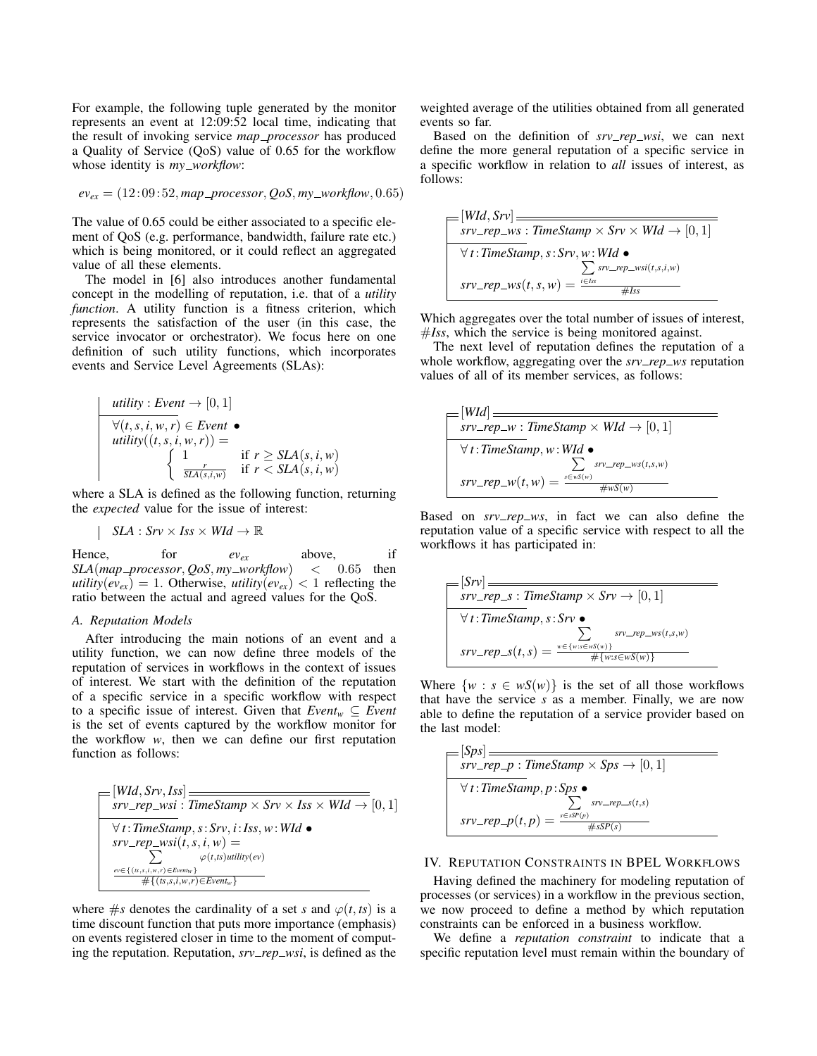For example, the following tuple generated by the monitor represents an event at 12:09:52 local time, indicating that the result of invoking service *map processor* has produced a Quality of Service (QoS) value of 0.65 for the workflow whose identity is  $mv\_workflow$ :

$$
ev_{ex} = (12:09:52, map\_processor, QoS, my\_workflow, 0.65)
$$

The value of 0.65 could be either associated to a specific element of QoS (e.g. performance, bandwidth, failure rate etc.) which is being monitored, or it could reflect an aggregated value of all these elements.

The model in [6] also introduces another fundamental concept in the modelling of reputation, i.e. that of a *utility function*. A utility function is a fitness criterion, which represents the satisfaction of the user (in this case, the service invocator or orchestrator). We focus here on one definition of such utility functions, which incorporates events and Service Level Agreements (SLAs):

$$
\begin{array}{ll}\n\text{utility}: Event \rightarrow [0, 1] \\
\hline\n\forall (t, s, i, w, r) \in Event & \\
\text{utility}((t, s, i, w, r)) = \\
\begin{cases}\n1 & \text{if } r \geq SLA(s, i, w) \\
\frac{r}{SLA(s, i, w)} & \text{if } r < SLA(s, i, w)\n\end{cases}\n\end{array}
$$

where a SLA is defined as the following function, returning the *expected* value for the issue of interest:

$$
|\quad SLA: Srv \times Iss \times WId \rightarrow \mathbb{R}
$$

Hence, for  $ev_{ex}$  above, if  $SLA(map\_processor, QoS, my\_workflow)$  < 0.65 then *utility*( $ev_{ex}$ ) = 1. Otherwise, *utility*( $ev_{ex}$ ) < 1 reflecting the ratio between the actual and agreed values for the QoS.

## *A. Reputation Models*

After introducing the main notions of an event and a utility function, we can now define three models of the reputation of services in workflows in the context of issues of interest. We start with the definition of the reputation of a specific service in a specific workflow with respect to a specific issue of interest. Given that  $Event_w \subseteq Event$ is the set of events captured by the workflow monitor for the workflow *w*, then we can define our first reputation function as follows:

$$
\begin{array}{l}\n\begin{aligned}\n&[Wld, Srv, \text{Iss}] \\
&sv\_rep\_wsi : TimeStamp \times Srv \times \text{Iss} \times \text{WId} \rightarrow [0, 1] \\
& \forall t : TimeStamp, s : Srv, i : \text{Iss, } w : \text{WId} \bullet \\
& sv\_rep\_wsi(t, s, i, w) = \\
& \sum_{\substack{e \in \{(s, s, i, w, r) \in Even \text{Iw}\} \\ \#\{(rs, s, i, w, r) \in Even \text{Iw}\}}}\n\end{aligned}\n\end{array}
$$

where  $\#s$  denotes the cardinality of a set *s* and  $\varphi(t, ts)$  is a time discount function that puts more importance (emphasis) on events registered closer in time to the moment of computing the reputation. Reputation,  $srv$  *rep wsi*, is defined as the weighted average of the utilities obtained from all generated events so far.

Based on the definition of  $srv$ <sub>*rep*<sub>*wsi*</sub>, we can next</sub> define the more general reputation of a specific service in a specific workflow in relation to *all* issues of interest, as follows:

$$
\begin{aligned}\n&= \left[Wld, Srv\right] = \frac{\text{true} \times Srv \times Wld \rightarrow [0, 1]}{\text{true} \times \text{true} \times \text{true} \times \text{true} \times Wld \rightarrow [0, 1]} \\
&\forall t: \text{Time} \times \text{frame}, s: Srv, w: Wld \bullet \\
&\sum_{srv = rep\_ws(t, s, w)} \text{true} = \frac{\sum_{s \in \text{base}} \text{true} \times \text{true} \times \text{true} \times \text{true} \times \text{true} \times \text{true} \times \text{true} \times \text{true} \times \text{true} \times \text{true} \times \text{true} \times \text{true} \times \text{true} \times \text{true} \times \text{true} \times \text{true} \times \text{true} \times \text{true} \times \text{true} \times \text{true} \times \text{true} \times \text{true} \times \text{true} \times \text{true} \times \text{true} \times \text{true} \times \text{true} \times \text{true} \times \text{true} \times \text{true} \times \text{true} \times \text{true} \times \text{true} \times \text{true} \times \text{true} \times \text{true} \times \text{true} \times \text{true} \times \text{true} \times \text{true} \times \text{true} \times \text{true} \times \text{true} \times \text{true} \times \text{true} \times \text{true} \times \text{true} \times \text{true} \times \text{true} \times \text{true} \times \text{true} \times \text{true} \times \text{true} \times \text{true} \times \text{true} \times \text{true} \times \text{true} \times \text{true} \times \text{true} \times \text{true} \times \text{true} \times \text{true} \times \text{true} \times \text{true} \times \text{true} \times \text{true} \times \text{true} \times \text{true} \times \text{true} \times \text{true} \times \text{true} \times \text{true} \times \text{true} \times \text{true} \times \text{true} \times \text{true} \times \text{true} \times \text{true} \times \text{true} \times \text{true} \times \text{true} \times \text{true} \times \text{true} \times \text{true} \times \text{true} \times \text{true} \times \text{true} \times \text{true}
$$

Which aggregates over the total number of issues of interest, #*Iss*, which the service is being monitored against.

The next level of reputation defines the reputation of a whole workflow, aggregating over the  $\frac{srv}{rep_{ws}}$  reputation values of all of its member services, as follows:

$$
\begin{array}{l}\n\begin{aligned}\n\begin{aligned}\n\text{[WId]} &= \text{true} \\
\text{srv\_rep\_w : TimeStamp} \times \text{WId} \rightarrow [0, 1] \\
\hline\n\end{aligned} \\
\hline\n\text{str\_TimeStamp, w : WId} &\bullet \\
\text{srv\_rep\_w}(t, w) &= \frac{\text{sc}_{wS(w)}}{\# wS(w)}\n\end{aligned}\n\end{array}
$$

Based on *srv\_rep\_ws*, in fact we can also define the reputation value of a specific service with respect to all the workflows it has participated in:

$$
\begin{aligned}\n&\text{[Srv]}\n\end{aligned}\n\begin{aligned}\n&\text{[Srv]}\n\end{aligned}\n\text{[Srv]}\n\begin{aligned}\n&\text{[Srv]}\n\end{aligned}\n\begin{aligned}\n&\text{[Srv]}\n\end{aligned}\n\begin{aligned}\n&\text{[Srv]}\n\end{aligned}\n\begin{aligned}\n&\text{[Srv]}\n\end{aligned}\n\begin{aligned}\n&\text{[Srv]}\n\end{aligned}\n\begin{aligned}\n&\text{[Srv]}\n&\text{[Srv]}\n\end{aligned}\n\begin{aligned}\n&\text{[Srv]}\n&\text{[Srv]}\n\end{aligned}\n\begin{aligned}\n&\text{[Srv]}\n&\text{[Srv]}\n\end{aligned}\n\begin{aligned}\n&\text{[Srv]}\n&\text{[Srv]}\n\end{aligned}\n\begin{aligned}\n&\text{[Srv]}\n&\text{[Srv]}\n\end{aligned}
$$

Where  $\{w : s \in wS(w)\}$  is the set of all those workflows that have the service *s* as a member. Finally, we are now able to define the reputation of a service provider based on the last model:

$$
\begin{array}{l}\n\begin{aligned}\n&[Sps] \xrightarrow{srv\_rep\_p} : TimeStamp \times Sps \rightarrow [0, 1] \\
& \forall t: TimeStamp, p: Sps \bullet \\
& \sum_{srv\_rep\_s(t, s)} \nsrv\_rep\_p(t, p) = \frac{\sum_{s \in sSP(p)} \nsrv\_rep\_s(t, s)}{\# sSP(s)}\n\end{aligned}\n\end{array}
$$

# IV. REPUTATION CONSTRAINTS IN BPEL WORKFLOWS

Having defined the machinery for modeling reputation of processes (or services) in a workflow in the previous section, we now proceed to define a method by which reputation constraints can be enforced in a business workflow.

We define a *reputation constraint* to indicate that a specific reputation level must remain within the boundary of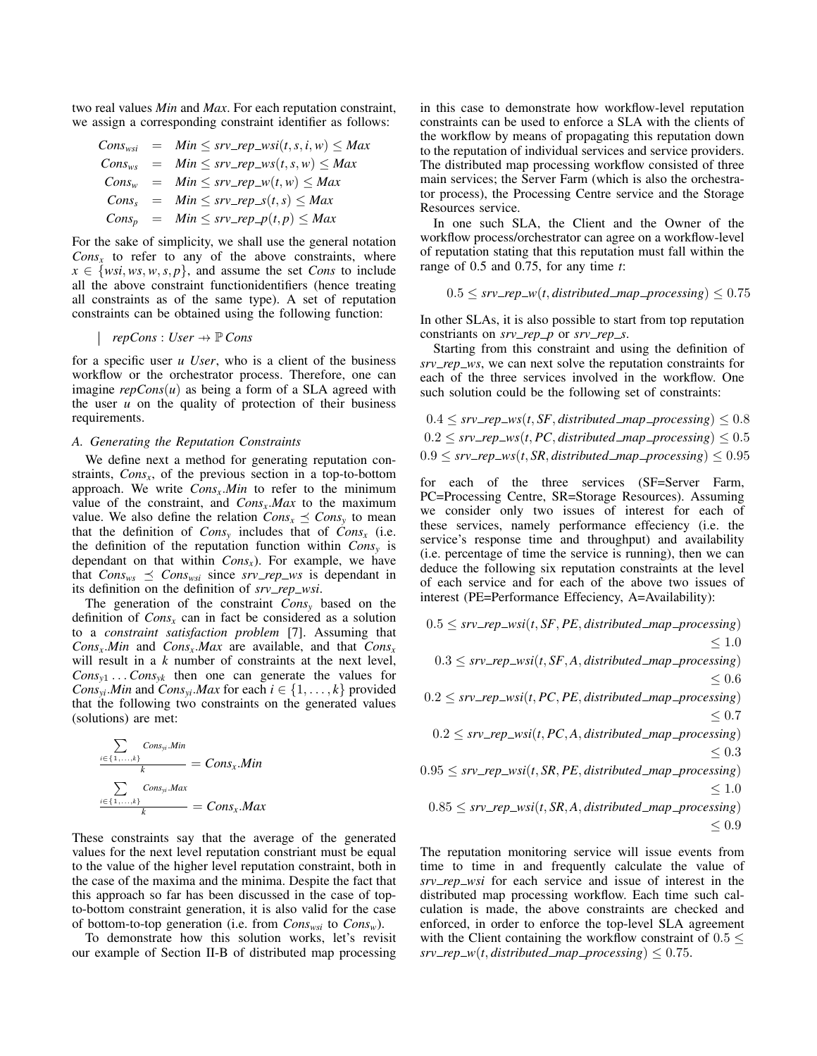two real values *Min* and *Max*. For each reputation constraint, we assign a corresponding constraint identifier as follows:

$$
Conswsi = Min \leq svr_{rep\_wsi}(t, s, i, w) \leq Max
$$
  
\n
$$
Consws = Min \leq svr_{rep\_ws}(t, s, w) \leq Max
$$
  
\n
$$
Conss = Min \leq svr_{rep\_w}(t, w) \leq Max
$$
  
\n
$$
Conss = Min \leq svr_{rep\_s}(t, s) \leq Max
$$
  
\n
$$
Consp = Min \leq svr_{rep\_p}(t, p) \leq Max
$$

For the sake of simplicity, we shall use the general notation  $Cons<sub>x</sub>$  to refer to any of the above constraints, where  $x \in \{wsi, ws, w, s, p\}$ , and assume the set *Cons* to include all the above constraint functionidentifiers (hence treating all constraints as of the same type). A set of reputation constraints can be obtained using the following function:

$$
repCons: User \rightarrow \mathbb{P} Cons
$$

for a specific user *u User*, who is a client of the business workflow or the orchestrator process. Therefore, one can imagine *repCons*(*u*) as being a form of a SLA agreed with the user  $u$  on the quality of protection of their business requirements.

## *A. Generating the Reputation Constraints*

We define next a method for generating reputation constraints, *Consx*, of the previous section in a top-to-bottom approach. We write *Consx*.*Min* to refer to the minimum value of the constraint, and *Consx*.*Max* to the maximum value. We also define the relation  $Cons_x \preceq Cons_y$  to mean that the definition of  $Cons<sub>y</sub>$  includes that of  $Cons<sub>x</sub>$  (i.e. the definition of the reputation function within *Cons<sup>y</sup>* is dependant on that within *Consx*). For example, we have that  $Cons_{ws} \leq Cons_{ws}$  since  $srv_{rep_{ws}}$  is dependant in its definition on the definition of  $srv\_rep\_wsi$ .

The generation of the constraint *Cons<sup>y</sup>* based on the definition of *Cons<sup>x</sup>* can in fact be considered as a solution to a *constraint satisfaction problem* [7]. Assuming that *Consx*.*Min* and *Consx*.*Max* are available, and that *Cons<sup>x</sup>* will result in a *k* number of constraints at the next level,  $Cons_{y1} \ldots Cons_{yk}$  then one can generate the values for *Cons*<sub>*vi</sub>*.*Min* and *Cons*<sub>*vi*</sub>.*Max* for each  $i \in \{1, \ldots, k\}$  provided</sub> that the following two constraints on the generated values (solutions) are met:

$$
\frac{\sum\limits_{i \in \{1, \ldots, k\}} \text{Cons}_{yi}.Min}{k} = \text{Cons}_{x}.Min
$$
\n
$$
\frac{\sum\limits_{i \in \{1, \ldots, k\}} \text{Cons}_{yi}.Max}{k} = \text{Cons}_{x}.Max
$$

These constraints say that the average of the generated values for the next level reputation constriant must be equal to the value of the higher level reputation constraint, both in the case of the maxima and the minima. Despite the fact that this approach so far has been discussed in the case of topto-bottom constraint generation, it is also valid for the case of bottom-to-top generation (i.e. from *Conswsi* to *Consw*).

To demonstrate how this solution works, let's revisit our example of Section II-B of distributed map processing in this case to demonstrate how workflow-level reputation constraints can be used to enforce a SLA with the clients of the workflow by means of propagating this reputation down to the reputation of individual services and service providers. The distributed map processing workflow consisted of three main services; the Server Farm (which is also the orchestrator process), the Processing Centre service and the Storage Resources service.

In one such SLA, the Client and the Owner of the workflow process/orchestrator can agree on a workflow-level of reputation stating that this reputation must fall within the range of 0.5 and 0.75, for any time *t*:

$$
0.5 \leq
$$
 *srv\_rep\_w*(*t*, *distributed\_map\_processing*)  $\leq$  0.75

In other SLAs, it is also possible to start from top reputation constriants on *srv*\_*rep*\_*p* or *srv*\_*rep*\_*s*.

Starting from this constraint and using the definition of *srv rep ws*, we can next solve the reputation constraints for each of the three services involved in the workflow. One such solution could be the following set of constraints:

$$
0.4 \leq src\_rep\_ws(t, SF, distributed\_map\_processing) \leq 0.8
$$
  

$$
0.2 \leq src\_rep\_ws(t, PC, distributed\_map\_processing) \leq 0.5
$$
  

$$
0.9 \leq src\_rep\_ws(t, SR, distributed\_map\_processing) \leq 0.95
$$

for each of the three services (SF=Server Farm, PC=Processing Centre, SR=Storage Resources). Assuming we consider only two issues of interest for each of these services, namely performance effeciency (i.e. the service's response time and throughput) and availability (i.e. percentage of time the service is running), then we can deduce the following six reputation constraints at the level of each service and for each of the above two issues of interest (PE=Performance Effeciency, A=Availability):

 $0.5 \leq$  *srv\_rep\_wsi*(*t*, *SF*, *PE*, *distributed\_map\_processing*)  $≤ 1.0$ 

$$
0.3 \leq \textit{srv\_rep\_wsi}(t, SF, A, distributed\_map\_processing) \leq 0.6
$$

$$
0.2 \leq srv\_rep\_wsi(t, PC, PE, distributed\_map\_processing) \leq 0.7
$$

 $0.2 \leq$  *srv\_rep\_wsi*(*t*, *PC*, *A*, *distributed\_map\_processing*)  $\leq 0.3$ 

 $0.95 \leq$  *srv\_rep\_wsi*(*t*, *SR*, *PE*, *distributed\_map\_processing*) ≤ 1.0

$$
0.85 \leq sv\_rep\_wsi(t, SR, A, distributed\_map\_processing) \leq 0.9
$$

The reputation monitoring service will issue events from time to time in and frequently calculate the value of *srv rep wsi* for each service and issue of interest in the distributed map processing workflow. Each time such calculation is made, the above constraints are checked and enforced, in order to enforce the top-level SLA agreement with the Client containing the workflow constraint of  $0.5 \leq$  $srv\_rep\_w(t, distributed\_map\_processing) \leq 0.75$ .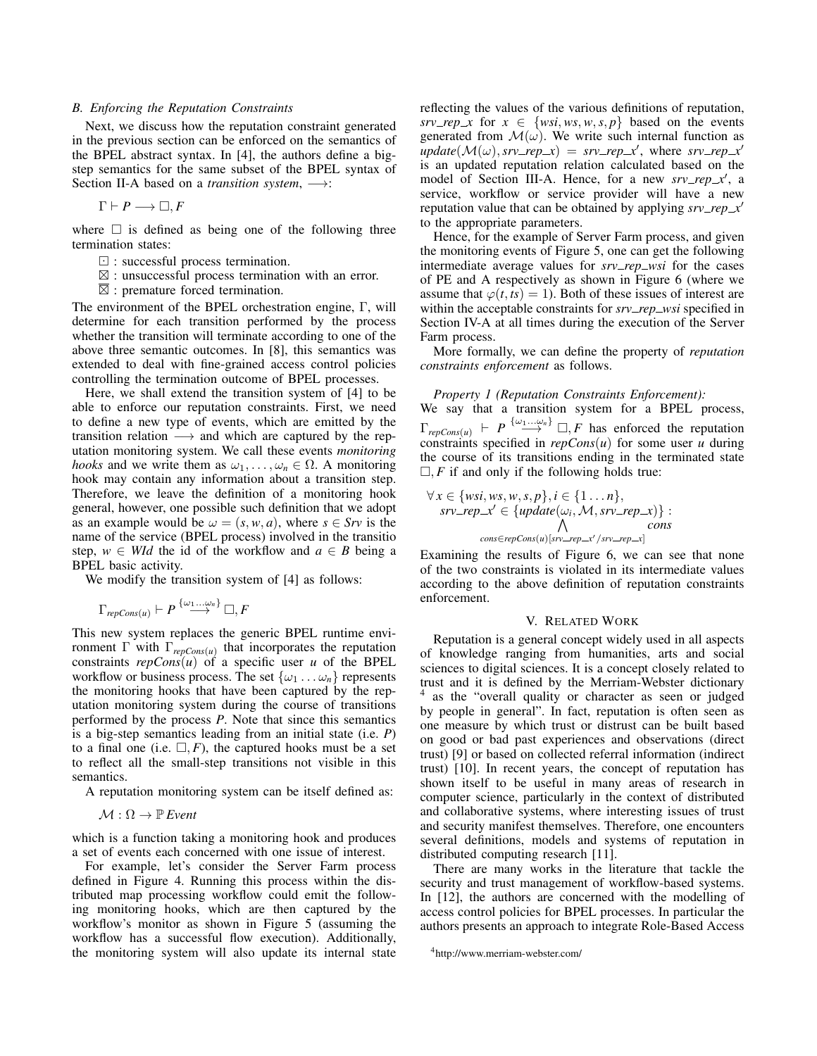# *B. Enforcing the Reputation Constraints*

Next, we discuss how the reputation constraint generated in the previous section can be enforced on the semantics of the BPEL abstract syntax. In [4], the authors define a bigstep semantics for the same subset of the BPEL syntax of Section II-A based on a *transition system*,  $→$ :

 $\Gamma \vdash P \longrightarrow \Box, F$ 

where  $\Box$  is defined as being one of the following three termination states:

- : successful process termination.
- $\boxtimes$  : unsuccessful process termination with an error.
- $\overline{\boxtimes}$  : premature forced termination.

The environment of the BPEL orchestration engine, Γ, will determine for each transition performed by the process whether the transition will terminate according to one of the above three semantic outcomes. In [8], this semantics was extended to deal with fine-grained access control policies controlling the termination outcome of BPEL processes.

Here, we shall extend the transition system of [4] to be able to enforce our reputation constraints. First, we need to define a new type of events, which are emitted by the transition relation −→ and which are captured by the reputation monitoring system. We call these events *monitoring hooks* and we write them as  $\omega_1, \ldots, \omega_n \in \Omega$ . A monitoring hook may contain any information about a transition step. Therefore, we leave the definition of a monitoring hook general, however, one possible such definition that we adopt as an example would be  $\omega = (s, w, a)$ , where  $s \in Srv$  is the name of the service (BPEL process) involved in the transitio step,  $w \in WId$  the id of the workflow and  $a \in B$  being a BPEL basic activity.

We modify the transition system of [4] as follows:

$$
\Gamma_{repCons(u)} \vdash P \stackrel{\{\omega_1 \dots \omega_n\}}{\longrightarrow} \square, F
$$

This new system replaces the generic BPEL runtime environment  $\Gamma$  with  $\Gamma_{repCons(u)}$  that incorporates the reputation constraints  $repCons(u)$  of a specific user *u* of the BPEL workflow or business process. The set  $\{\omega_1 \dots \omega_n\}$  represents the monitoring hooks that have been captured by the reputation monitoring system during the course of transitions performed by the process *P*. Note that since this semantics is a big-step semantics leading from an initial state (i.e. *P*) to a final one (i.e.  $\Box$ , *F*), the captured hooks must be a set to reflect all the small-step transitions not visible in this semantics.

A reputation monitoring system can be itself defined as:

$$
\mathcal{M}: \Omega \to \mathbb{P} \text{Event}
$$

which is a function taking a monitoring hook and produces a set of events each concerned with one issue of interest.

For example, let's consider the Server Farm process defined in Figure 4. Running this process within the distributed map processing workflow could emit the following monitoring hooks, which are then captured by the workflow's monitor as shown in Figure 5 (assuming the workflow has a successful flow execution). Additionally, the monitoring system will also update its internal state reflecting the values of the various definitions of reputation,  $srv\_rep\_x$  for  $x \in \{wsi, ws, w, s, p\}$  based on the events generated from  $\mathcal{M}(\omega)$ . We write such internal function as  $update(M(\omega), sv\_rep\_x) = sv\_rep\_x', where$  where  $sv\_rep\_x'$ is an updated reputation relation calculated based on the model of Section III-A. Hence, for a new *srv\_rep\_x'*, a service, workflow or service provider will have a new reputation value that can be obtained by applying  $\frac{srv}{rep_x}$ to the appropriate parameters.

Hence, for the example of Server Farm process, and given the monitoring events of Figure 5, one can get the following intermediate average values for *srv\_rep\_wsi* for the cases of PE and A respectively as shown in Figure 6 (where we assume that  $\varphi(t, ts) = 1$ ). Both of these issues of interest are within the acceptable constraints for  $srv\_rep\_wsi$  specified in Section IV-A at all times during the execution of the Server Farm process.

More formally, we can define the property of *reputation constraints enforcement* as follows.

# *Property 1 (Reputation Constraints Enforcement):*

We say that a transition system for a BPEL process,  $\Gamma_{repCons(u)}$   $\vdash$   $P \stackrel{\{\omega_1 \dots \omega_n\}}{\longrightarrow} \square, F$  has enforced the reputation constraints specified in  $repCons(u)$  for some user *u* during the course of its transitions ending in the terminated state  $\Box$ , *F* if and only if the following holds true:

$$
\forall x \in \{wsi, ws, w, s, p\}, i \in \{1 \dots n\},
$$
  
\n
$$
sv\_rep\_x' \in \{update(\omega_i, M, sv\_rep\_x)\} :
$$
  
\n
$$
\wedge
$$
  
\n
$$
cons\in repCons(u)[sv\_rep\_x'/sv\_rep\_x]
$$

Examining the results of Figure 6, we can see that none of the two constraints is violated in its intermediate values according to the above definition of reputation constraints enforcement.

## V. RELATED WORK

Reputation is a general concept widely used in all aspects of knowledge ranging from humanities, arts and social sciences to digital sciences. It is a concept closely related to trust and it is defined by the Merriam-Webster dictionary <sup>4</sup> as the "overall quality or character as seen or judged by people in general". In fact, reputation is often seen as one measure by which trust or distrust can be built based on good or bad past experiences and observations (direct trust) [9] or based on collected referral information (indirect trust) [10]. In recent years, the concept of reputation has shown itself to be useful in many areas of research in computer science, particularly in the context of distributed and collaborative systems, where interesting issues of trust and security manifest themselves. Therefore, one encounters several definitions, models and systems of reputation in distributed computing research [11].

There are many works in the literature that tackle the security and trust management of workflow-based systems. In [12], the authors are concerned with the modelling of access control policies for BPEL processes. In particular the authors presents an approach to integrate Role-Based Access

<sup>4</sup>http://www.merriam-webster.com/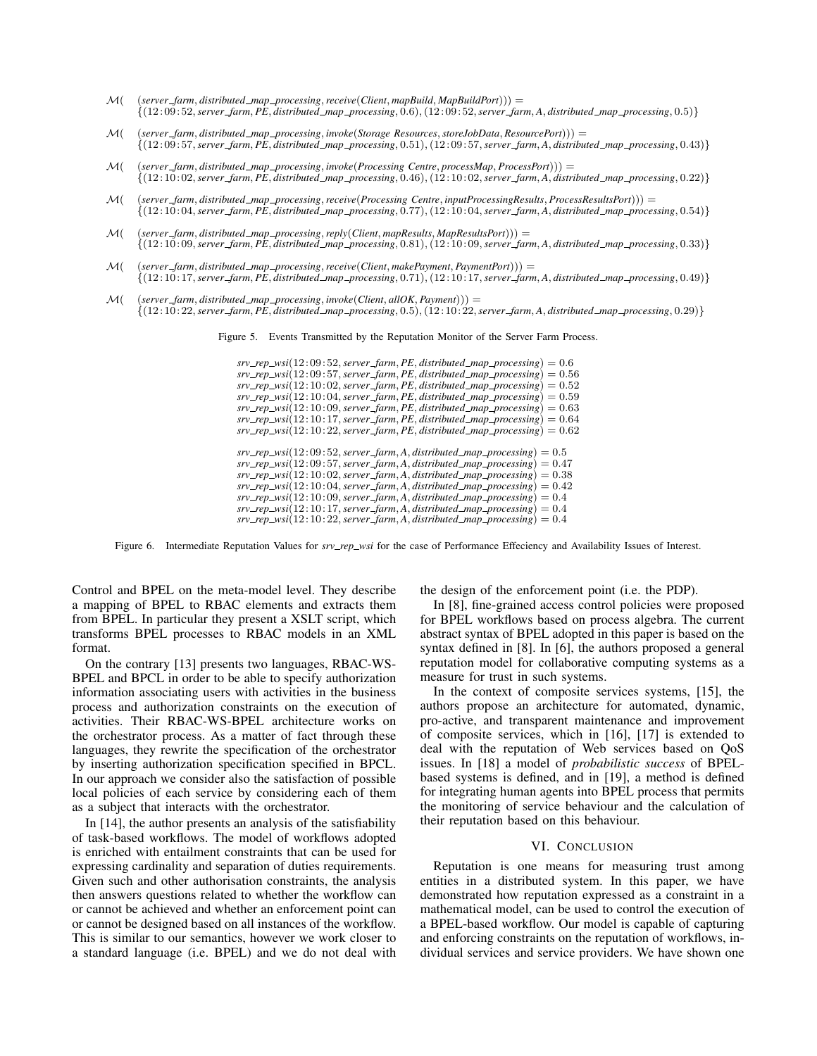- M( (*server farm*, *distributed map processing*,*receive*(*Client*, *mapBuild*, *MapBuildPort*))) = {(12: 09: 52,*server farm*, *PE*, *distributed map processing*, 0.6), (12: 09: 52,*server farm*, *A*, *distributed map processing*, 0.5)}
- M( (*server farm*, *distributed map processing*, *invoke*(*Storage Resources*,*storeJobData*, *ResourcePort*))) = {(12: 09: 57,*server farm*, *PE*, *distributed map processing*, 0.51), (12: 09: 57,*server farm*, *A*, *distributed map processing*, 0.43)}
- M( (*server farm*, *distributed map processing*, *invoke*(*Processing Centre*, *processMap*, *ProcessPort*))) = {(12: 10: 02,*server farm*, *PE*, *distributed map processing*, 0.46), (12: 10: 02,*server farm*, *A*, *distributed map processing*, 0.22)}
- M( (*server farm*, *distributed map processing*,*receive*(*Processing Centre*, *inputProcessingResults*, *ProcessResultsPort*))) = {(12: 10: 04,*server farm*, *PE*, *distributed map processing*, 0.77), (12: 10: 04,*server farm*, *A*, *distributed map processing*, 0.54)}
- M( (*server farm*, *distributed map processing*,*reply*(*Client*, *mapResults*, *MapResultsPort*))) = {(12: 10: 09,*server farm*, *PE*, *distributed map processing*, 0.81), (12: 10: 09,*server farm*, *A*, *distributed map processing*, 0.33)}
- M( (*server farm*, *distributed map processing*,*receive*(*Client*, *makePayment*, *PaymentPort*))) = {(12: 10: 17,*server farm*, *PE*, *distributed map processing*, 0.71), (12: 10: 17,*server farm*, *A*, *distributed map processing*, 0.49)}
- M( (*server farm*, *distributed map processing*, *invoke*(*Client*, *allOK*, *Payment*))) = {(12: 10: 22,*server farm*, *PE*, *distributed map processing*, 0.5), (12: 10: 22,*server farm*, *A*, *distributed map processing*, 0.29)}

Figure 5. Events Transmitted by the Reputation Monitor of the Server Farm Process.

 $srv\_rep\_wsi(12:09:52, server\_farm, PE, distributed\_map\_processing) = 0.6$ *srv rep wsi*(12: 09: 57,*server farm*, *PE*, *distributed map processing*) = 0.56  $srv\_rep\_wsi(12:10:02, server\_farm, PE, distributed\_map\_processing) = 0.52$  $srv\_rep\_wsi(12:10:04, server\_farm, PE, distributed\_map\_processing) = 0.59$  $srv\_rep\_wsi(12:10:09, server\_farm, PE, distributed\_map\_processing) = 0.63$  $srv\_rep\_wsi(12:10:17, server\_farm, PE, distributed\_map\_processing) = 0.64$  $srv\_rep\_wsi(12:10:22, server\_farm, PE, distributed\_map\_processing) = 0.62$ *srv rep wsi*(12: 09: 52,*server farm*, *A*, *distributed map processing*) = 0.5  $srv\_rep\_wsi(12:09:57, server\_farm, A, distributed\_map\_processing) = 0.47$  $srv\_rep\_wsi(12:10:02, server\_farm, A, distributed\_map\_processing) = 0.38$  $srv\_rep\_wsi(12:10:04, server\_farm, A, distributed\_map\_processing) = 0.42$  $srv\_rep\_wsi(12:10:09, server\_farm, A, distributed\_map\_processing) = 0.4$  $srv\_rep\_wsi(12:10:17, server\_farm, A, distributed\_map\_processing) = 0.4$  $srv\_rep\_wsi(12:10:22, server\_farm, A, distributed\_map\_processing) = 0.4$ 

Figure 6. Intermediate Reputation Values for  $\frac{srv}{rep\_ws}$  for the case of Performance Effeciency and Availability Issues of Interest.

Control and BPEL on the meta-model level. They describe a mapping of BPEL to RBAC elements and extracts them from BPEL. In particular they present a XSLT script, which transforms BPEL processes to RBAC models in an XML format.

On the contrary [13] presents two languages, RBAC-WS-BPEL and BPCL in order to be able to specify authorization information associating users with activities in the business process and authorization constraints on the execution of activities. Their RBAC-WS-BPEL architecture works on the orchestrator process. As a matter of fact through these languages, they rewrite the specification of the orchestrator by inserting authorization specification specified in BPCL. In our approach we consider also the satisfaction of possible local policies of each service by considering each of them as a subject that interacts with the orchestrator.

In [14], the author presents an analysis of the satisfiability of task-based workflows. The model of workflows adopted is enriched with entailment constraints that can be used for expressing cardinality and separation of duties requirements. Given such and other authorisation constraints, the analysis then answers questions related to whether the workflow can or cannot be achieved and whether an enforcement point can or cannot be designed based on all instances of the workflow. This is similar to our semantics, however we work closer to a standard language (i.e. BPEL) and we do not deal with

the design of the enforcement point (i.e. the PDP).

In [8], fine-grained access control policies were proposed for BPEL workflows based on process algebra. The current abstract syntax of BPEL adopted in this paper is based on the syntax defined in [8]. In [6], the authors proposed a general reputation model for collaborative computing systems as a measure for trust in such systems.

In the context of composite services systems, [15], the authors propose an architecture for automated, dynamic, pro-active, and transparent maintenance and improvement of composite services, which in [16], [17] is extended to deal with the reputation of Web services based on QoS issues. In [18] a model of *probabilistic success* of BPELbased systems is defined, and in [19], a method is defined for integrating human agents into BPEL process that permits the monitoring of service behaviour and the calculation of their reputation based on this behaviour.

#### VI. CONCLUSION

Reputation is one means for measuring trust among entities in a distributed system. In this paper, we have demonstrated how reputation expressed as a constraint in a mathematical model, can be used to control the execution of a BPEL-based workflow. Our model is capable of capturing and enforcing constraints on the reputation of workflows, individual services and service providers. We have shown one